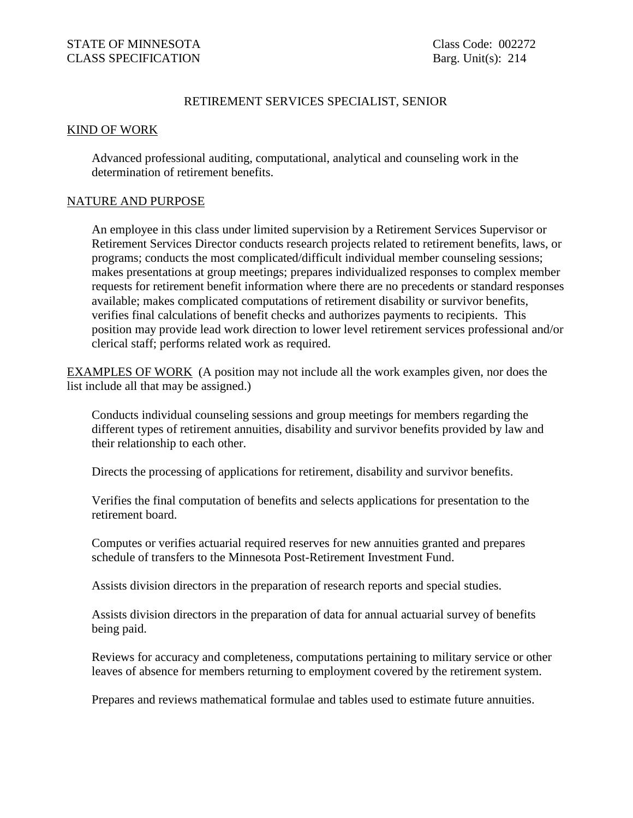## RETIREMENT SERVICES SPECIALIST, SENIOR

## KIND OF WORK

Advanced professional auditing, computational, analytical and counseling work in the determination of retirement benefits.

## NATURE AND PURPOSE

An employee in this class under limited supervision by a Retirement Services Supervisor or Retirement Services Director conducts research projects related to retirement benefits, laws, or programs; conducts the most complicated/difficult individual member counseling sessions; makes presentations at group meetings; prepares individualized responses to complex member requests for retirement benefit information where there are no precedents or standard responses available; makes complicated computations of retirement disability or survivor benefits, verifies final calculations of benefit checks and authorizes payments to recipients. This position may provide lead work direction to lower level retirement services professional and/or clerical staff; performs related work as required.

EXAMPLES OF WORK (A position may not include all the work examples given, nor does the list include all that may be assigned.)

Conducts individual counseling sessions and group meetings for members regarding the different types of retirement annuities, disability and survivor benefits provided by law and their relationship to each other.

Directs the processing of applications for retirement, disability and survivor benefits.

Verifies the final computation of benefits and selects applications for presentation to the retirement board.

Computes or verifies actuarial required reserves for new annuities granted and prepares schedule of transfers to the Minnesota Post-Retirement Investment Fund.

Assists division directors in the preparation of research reports and special studies.

Assists division directors in the preparation of data for annual actuarial survey of benefits being paid.

Reviews for accuracy and completeness, computations pertaining to military service or other leaves of absence for members returning to employment covered by the retirement system.

Prepares and reviews mathematical formulae and tables used to estimate future annuities.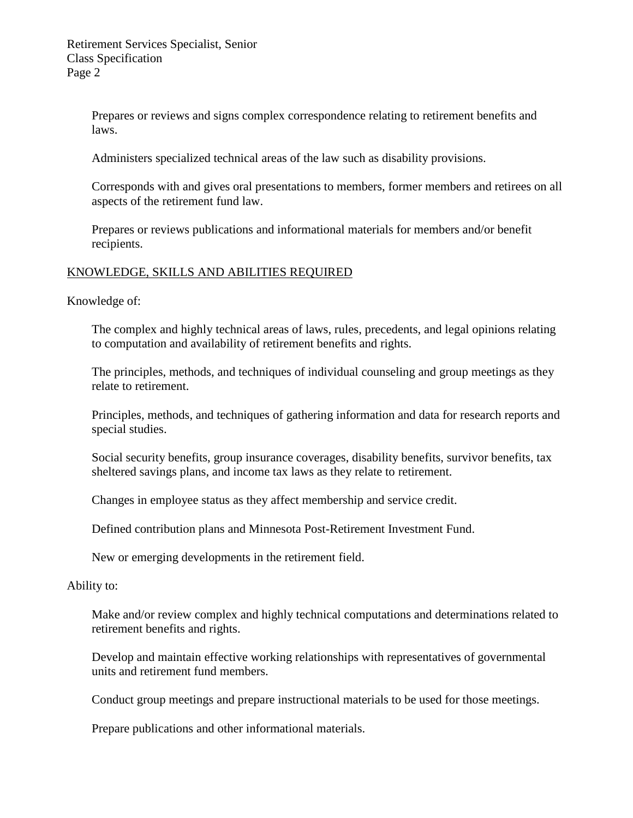Prepares or reviews and signs complex correspondence relating to retirement benefits and laws.

Administers specialized technical areas of the law such as disability provisions.

Corresponds with and gives oral presentations to members, former members and retirees on all aspects of the retirement fund law.

Prepares or reviews publications and informational materials for members and/or benefit recipients.

## KNOWLEDGE, SKILLS AND ABILITIES REQUIRED

Knowledge of:

The complex and highly technical areas of laws, rules, precedents, and legal opinions relating to computation and availability of retirement benefits and rights.

The principles, methods, and techniques of individual counseling and group meetings as they relate to retirement.

Principles, methods, and techniques of gathering information and data for research reports and special studies.

Social security benefits, group insurance coverages, disability benefits, survivor benefits, tax sheltered savings plans, and income tax laws as they relate to retirement.

Changes in employee status as they affect membership and service credit.

Defined contribution plans and Minnesota Post-Retirement Investment Fund.

New or emerging developments in the retirement field.

Ability to:

Make and/or review complex and highly technical computations and determinations related to retirement benefits and rights.

Develop and maintain effective working relationships with representatives of governmental units and retirement fund members.

Conduct group meetings and prepare instructional materials to be used for those meetings.

Prepare publications and other informational materials.